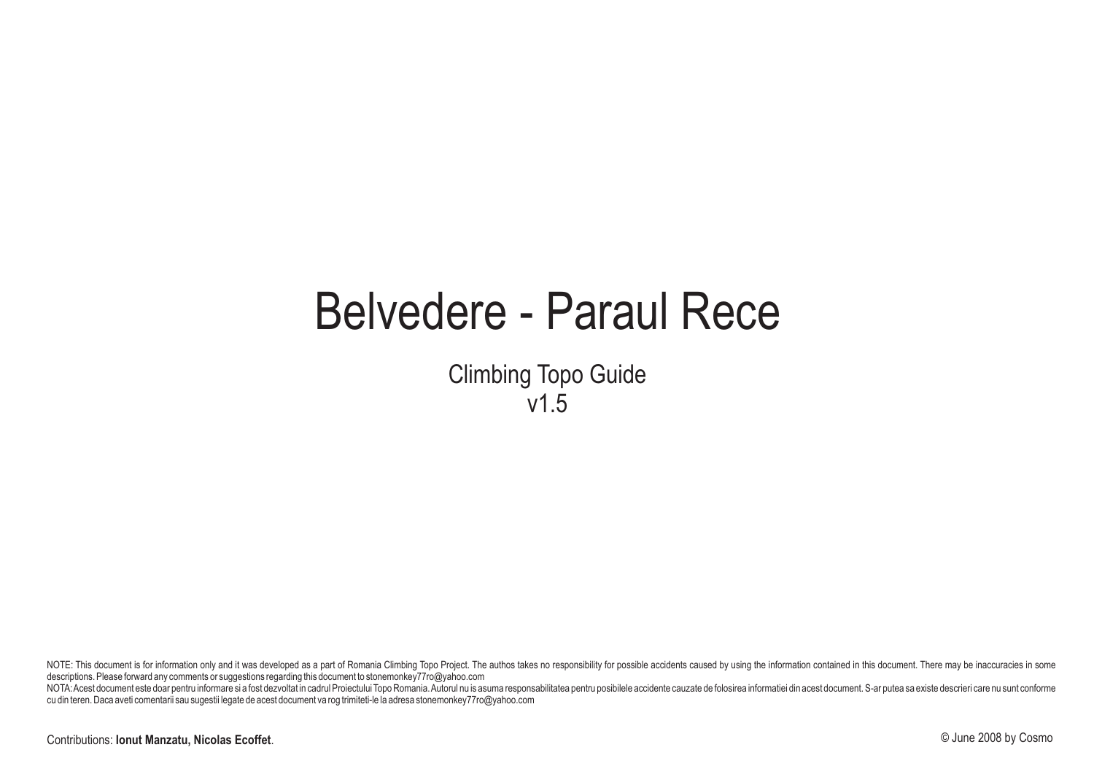# Belvedere - Paraul Rece

Climbing Topo Guide v1.5

NOTE: This document is for information only and it was developed as a part of Romania Climbing Topo Project. The authos takes no responsibility for possible accidents caused by using the information contained in this docum descriptions. Please forward any comments or suggestions regarding this document to stonemonkey77ro@yahoo.com

NOTA: Acest document este doar pentru informare si a fost dezvoltat in cadrul Proiectului Topo Romania. Autorul nu is asuma responsabilitatea pentru posibilele accidente cauzate de folosirea informatiei din acest document. cu din teren. Daca aveti comentarii sau sugestii legate de acest document va rog trimiteti-le la adresa stonemonkey77ro@yahoo.com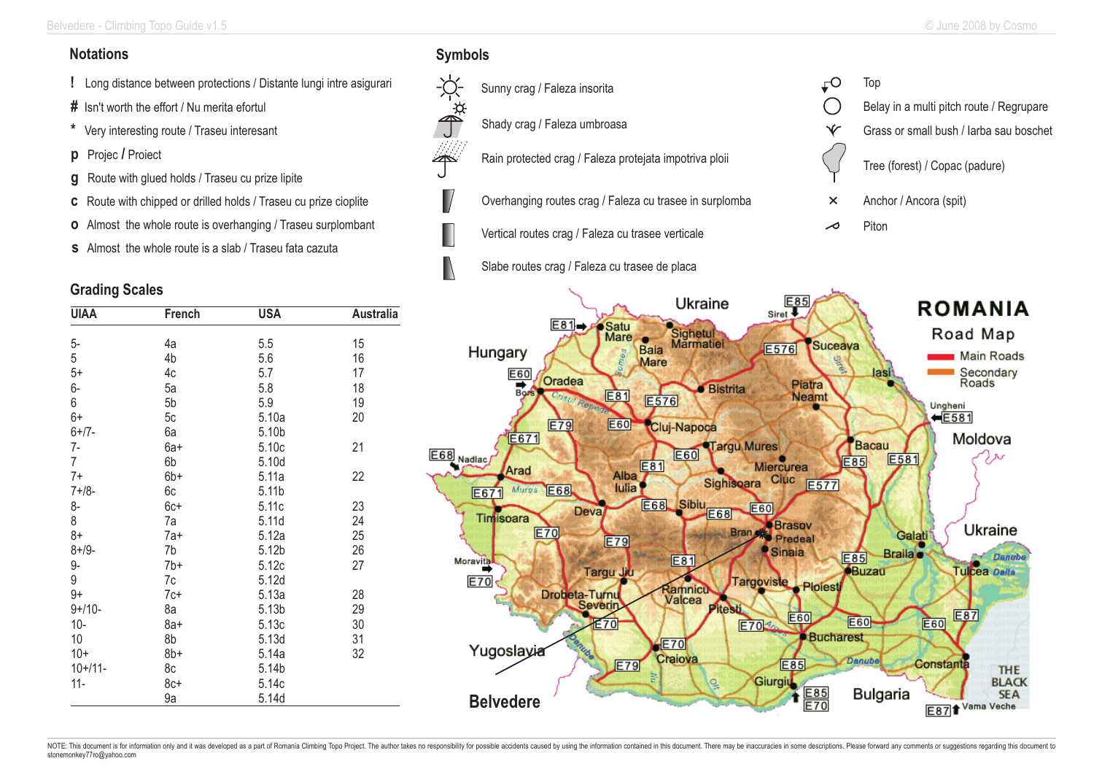### **Notations**

- **!** Long distance between protections / Distante lungi intre asigurari
- **#** Isn't worth the effort / Nu merita efortul
- **\*** Very interesting route / Traseu interesant
- **p** Projec **/** Proiect
- **g** Route with glued holds / Traseu cu prize lipite
- **c** Route with chipped or drilled holds / Traseu cu prize cioplite
- **o** Almost the whole route is overhanging / Traseu surplombant
- **s** Almost the whole route is a slab / Traseu fata cazuta

#### **Grading Scales**

| <b>UIAA</b>    | French | <b>USA</b> | <b>Australia</b> |  |  |
|----------------|--------|------------|------------------|--|--|
|                |        |            |                  |  |  |
| 5-             | 4a     | 5.5        | 15               |  |  |
| 5              | 4b     | 5.6        | 16               |  |  |
| $5+$           | 4c     | 5.7        | 17               |  |  |
| 6-             | 5a     | 5.8        | 18               |  |  |
| 6              | 5b     | 5.9        | 19               |  |  |
| $6+$           | 5c     | 5.10a      | 20               |  |  |
| $6+ / 7 -$     | 6a     | 5.10b      |                  |  |  |
| $7-$           | 6a+    | 5.10c      | 21               |  |  |
| $\overline{7}$ | 6b     | 5.10d      |                  |  |  |
| $7+$           | $6b+$  | 5.11a      | 22               |  |  |
| $7 + 18 -$     | 6c     | 5.11b      |                  |  |  |
| 8-             | 6c+    | 5.11c      | 23               |  |  |
| 8              | 7a     | 5.11d      | 24               |  |  |
| $8+$           | 7a+    | 5.12a      | 25               |  |  |
| $8 + 19 -$     | 7b     | 5.12b      | 26               |  |  |
| 9-             | $7b+$  | 5.12c      | 27               |  |  |
| 9              | 7c     | 5.12d      |                  |  |  |
| $9+$           | $7c+$  | 5.13a      | 28               |  |  |
| $9+/10-$       | 8a     | 5.13b      | 29               |  |  |
| $10 -$         | $8a+$  | 5.13c      | 30               |  |  |
| 10             | 8b     | 5.13d      | 31               |  |  |
| $10+$          | $8b+$  | 5.14a      | 32               |  |  |
| $10+11-$       | 8c     | 5.14b      |                  |  |  |
| $11 -$         | $8c+$  | 5.14c      |                  |  |  |
|                | 9a     | 5.14d      |                  |  |  |

#### **Symbols**

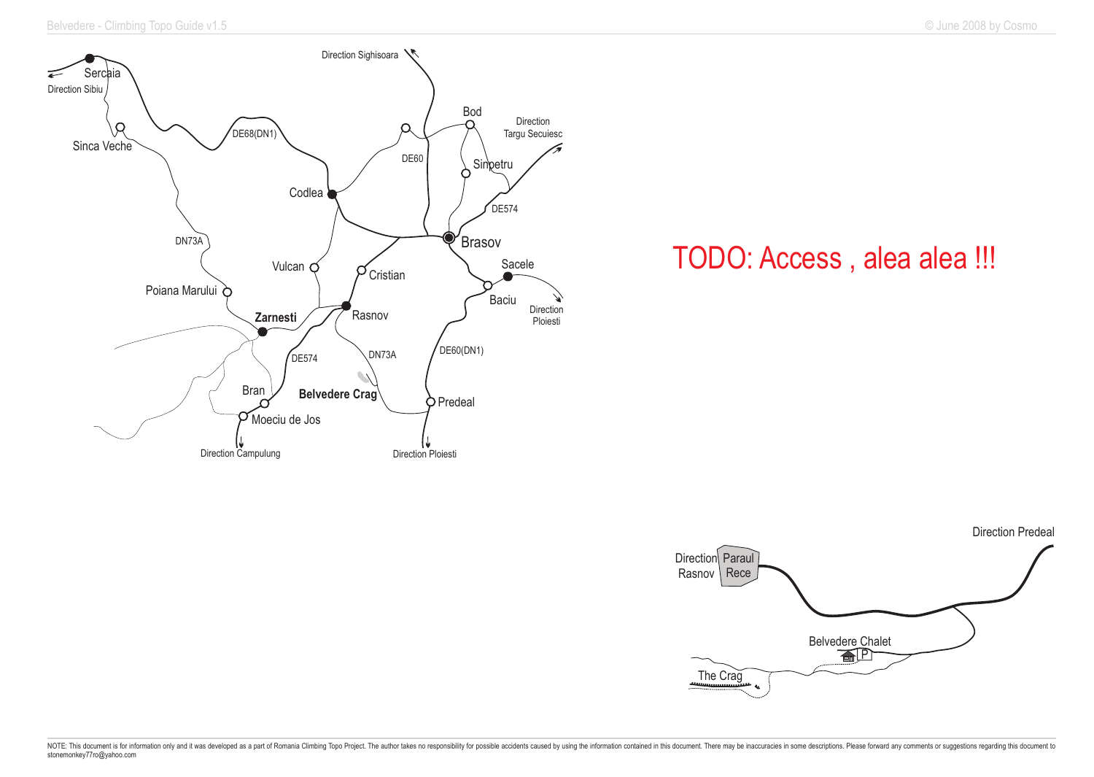

## TODO: Access , alea alea !!!